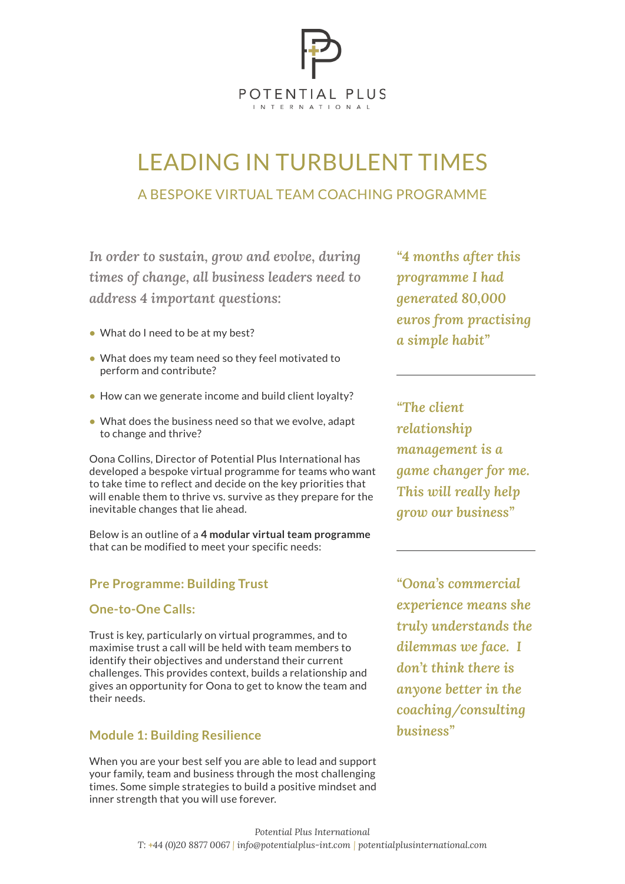

# LEADING IN TURBULENT TIMES A BESPOKE VIRTUAL TEAM COACHING PROGRAMME

In order to sustain, grow and evolve, during "4 m times of change, all business leaders need to *address* 4 important questions: times of change, all business leaders need to nes of change, all business leaders need to <sup>pro</sup>! high-quality accelerated thinking experience for sensible for  $\mu$ 

- What do I need to be at my best?
- $\bullet$  What does my team need so they feel motivated to perform and contribute? your business, your career and your
- $\bullet$  How can we generate income and build client loyalty?
- What does the business need so that we evolve, adapt<br>to shange and thrive? to change and thrive? *and empowering inspires you."*   $\bullet$  What does the business need so that we evolve, adapt to change and thrive? breakthrough thinking about what *action plan that truly*  breakthrough thinking about what  $\mathsf{rnew}$ *and empowering inspires you."*  matters to you to you to

Oona Collins, Director of Potential Plus International has developed a bespoke virtual programme for teams who want **Oona Collins** inspires you, and an action plan that inspires you, and an action plan that **Oona Collins** inspires you, and an action plan that to take time to reflect and decide on the key priorities that will enable them to thrive vs. survive as they prepare for the *Potential Plus International Potential Plus International* inevitable changes that lie ahead. *Potential Plus International*

> Below is an outline of a **4 modular virtual team programme**  Below is an oddified to meet your specific needs:<br>that can be modified to meet your specific needs: but spectric ficeus. via integatar virgar cean a to meet your specific needs. redin programme executives.  $\frac{1}{\cdot}$

### **Pre Programme: Building Trust**  $an \theta$ a Dunung Trust

### **One-to-One Calls:** how to maximise your impact  $\mathcal{L}$ may be in the latter stages of your stages of your stages of your stages of your stages of your stages of your

Trust is key, particularly on virtual programmes, and to maximise trust a call will be held with team members to  $dilemn$  ${\rm identity}$  their objectives and understand their current challenges. This provides context, builds a relationship and gives an opportunity for Oona to get to know the team and their needs. tual programmes, and to common is the desired to gain the desired to gain the desired to gain the desired to gain the desired to gain the set of the desired to gain the set of the desired to gain the set of the set of the set of the set of the se career and want to leave a legacy; arly on virtual programmes, and to transform to the seeking to the seeking to the see  $W$  for Oons to get to know  $\epsilon$  is the desired in the desired to gain the desired to gain the desired to gain the desired to gain the desired to gain the desired to gain the desired to gain the desired to gain the desired to gain the desired to gai  $\frac{1}{2}$  and  $\frac{1}{2}$  ow the team and  $\alpha$  is the desired in  $\alpha$ 

## **Module 1: Building Resilience**

When you are your best self you are able to lead and support your family, team and business through the most challenging times. Some simple strategies to build a positive mindset and inner strength that you will use forever.

*"4 months after this*   $\bm{p}$  *rogramme* I had *generated 80,000 your goals on track and build euros from practising a plan to achieve them and be*  a simple habit" *you to focus on a better you, get successful. A wonderful day." you to focus on a better you, get your goals and build*  $\alpha$ *a plan to achieve them and be successful. A wonderful day." you to focus on a better you, get a plan to achieve them and be successfrom practising* high-quality accelerated thinking clamour and busy-ness of everyday life, you have supply

*and instagram "The client*  $relationship$  and  $relationship$  and  $relationation$  $$ *game changer for me. had ince I joint is will really help grow our business" day programme. It was the most Head of London Residential, idea of the 'depth' of the Vision day programme. It was the most*  Tim MacPherson *Head of London Residential, Head of London Residential, "What an inspiring day. I had no idea of the management* is a *day programme. It was the most* 

<sup>"</sup>Oona's commercial *experience means she immensely valuable to me as I*  **do my finally understands the**  $d$ ilemmas we face. I *don't think there is anyone better in the these days." these days." coaching/consulting*  **business**" *however the control one Inters we face.*  $\bf{1}$ *City & Guilds <u>experience</u> means she chp i hower how it one meet my ambitions. The Vision Intensive Day was excellent –*  **coaching**/cor *immenself in the experience means she have thought about how I can meet my ambitions. The Vision Intensive Day was excellent – City & Guilds* a new role and want to identify the second want to identify the second want to identify the second want to identify the second water of the second water  $\sim$ may be in the latter stages of  $\mathbf{r}$ create lasting outcomes that are the created with  $\sim$